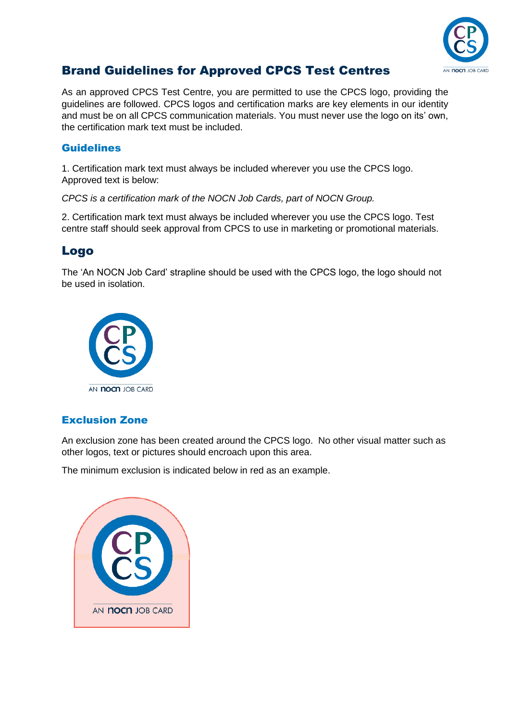

# Brand Guidelines for Approved CPCS Test Centres

As an approved CPCS Test Centre, you are permitted to use the CPCS logo, providing the guidelines are followed. CPCS logos and certification marks are key elements in our identity and must be on all CPCS communication materials. You must never use the logo on its' own, the certification mark text must be included.

#### Guidelines

1. Certification mark text must always be included wherever you use the CPCS logo. Approved text is below:

*CPCS is a certification mark of the NOCN Job Cards, part of NOCN Group.*

2. Certification mark text must always be included wherever you use the CPCS logo. Test centre staff should seek approval from CPCS to use in marketing or promotional materials.

## Logo

The 'An NOCN Job Card' strapline should be used with the CPCS logo, the logo should not be used in isolation.



### Exclusion Zone

An exclusion zone has been created around the CPCS logo. No other visual matter such as other logos, text or pictures should encroach upon this area.

The minimum exclusion is indicated below in red as an example.

| AN <b>NOCN</b> JOB CARD |
|-------------------------|